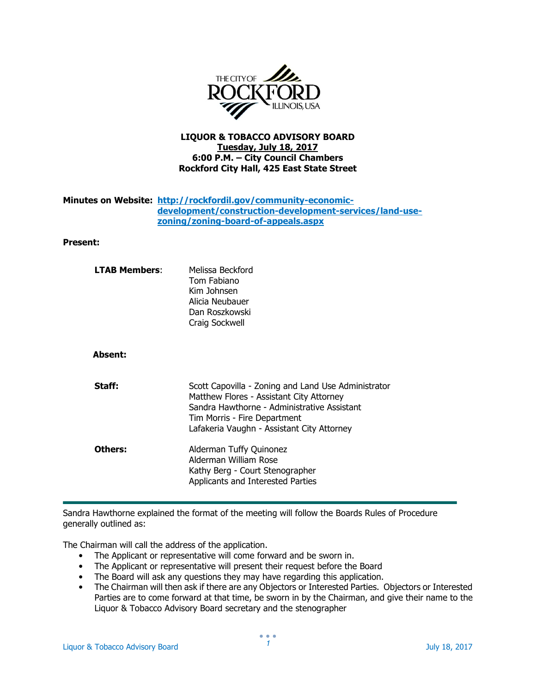

## LIQUOR & TOBACCO ADVISORY BOARD Tuesday, July 18, 2017 6:00 P.M. – City Council Chambers Rockford City Hall, 425 East State Street

## Minutes on Website: http://rockfordil.gov/community-economicdevelopment/construction-development-services/land-usezoning/zoning-board-of-appeals.aspx

## Present:

| <b>LTAB Members:</b> | Melissa Beckford<br>Tom Fabiano<br>Kim Johnsen<br>Alicia Neubauer<br>Dan Roszkowski<br>Craig Sockwell                                                                                                                        |
|----------------------|------------------------------------------------------------------------------------------------------------------------------------------------------------------------------------------------------------------------------|
| <b>Absent:</b>       |                                                                                                                                                                                                                              |
| Staff:               | Scott Capovilla - Zoning and Land Use Administrator<br>Matthew Flores - Assistant City Attorney<br>Sandra Hawthorne - Administrative Assistant<br>Tim Morris - Fire Department<br>Lafakeria Vaughn - Assistant City Attorney |
| Others:              | Alderman Tuffy Quinonez<br>Alderman William Rose<br>Kathy Berg - Court Stenographer<br>Applicants and Interested Parties                                                                                                     |

Sandra Hawthorne explained the format of the meeting will follow the Boards Rules of Procedure generally outlined as:

The Chairman will call the address of the application.

- The Applicant or representative will come forward and be sworn in.
- The Applicant or representative will present their request before the Board
- The Board will ask any questions they may have regarding this application.
- The Chairman will then ask if there are any Objectors or Interested Parties. Objectors or Interested Parties are to come forward at that time, be sworn in by the Chairman, and give their name to the Liquor & Tobacco Advisory Board secretary and the stenographer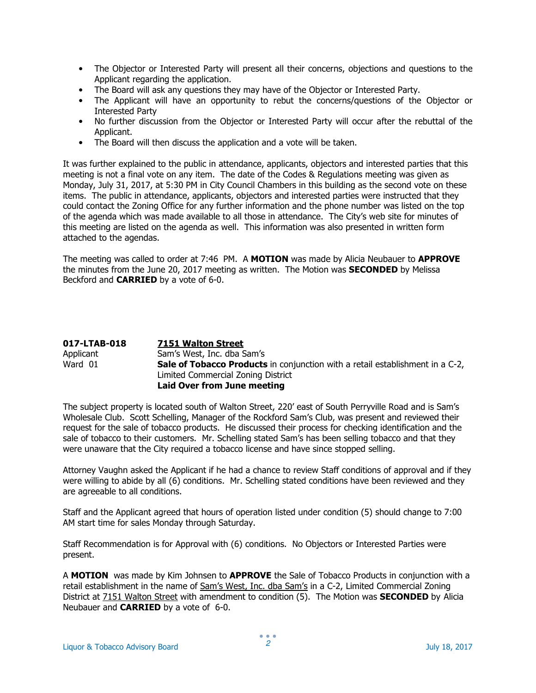- The Objector or Interested Party will present all their concerns, objections and questions to the Applicant regarding the application.
- The Board will ask any questions they may have of the Objector or Interested Party.
- The Applicant will have an opportunity to rebut the concerns/questions of the Objector or Interested Party
- No further discussion from the Objector or Interested Party will occur after the rebuttal of the Applicant.
- The Board will then discuss the application and a vote will be taken.

It was further explained to the public in attendance, applicants, objectors and interested parties that this meeting is not a final vote on any item. The date of the Codes & Regulations meeting was given as Monday, July 31, 2017, at 5:30 PM in City Council Chambers in this building as the second vote on these items. The public in attendance, applicants, objectors and interested parties were instructed that they could contact the Zoning Office for any further information and the phone number was listed on the top of the agenda which was made available to all those in attendance. The City's web site for minutes of this meeting are listed on the agenda as well. This information was also presented in written form attached to the agendas.

The meeting was called to order at 7:46 PM. A MOTION was made by Alicia Neubauer to APPROVE the minutes from the June 20, 2017 meeting as written. The Motion was **SECONDED** by Melissa Beckford and CARRIED by a vote of 6-0.

| 017-LTAB-018 | 7151 Walton Street                                                                   |
|--------------|--------------------------------------------------------------------------------------|
| Applicant    | Sam's West, Inc. dba Sam's                                                           |
| Ward 01      | <b>Sale of Tobacco Products</b> in conjunction with a retail establishment in a C-2, |
|              | Limited Commercial Zoning District                                                   |
|              | <b>Laid Over from June meeting</b>                                                   |

The subject property is located south of Walton Street, 220' east of South Perryville Road and is Sam's Wholesale Club. Scott Schelling, Manager of the Rockford Sam's Club, was present and reviewed their request for the sale of tobacco products. He discussed their process for checking identification and the sale of tobacco to their customers. Mr. Schelling stated Sam's has been selling tobacco and that they were unaware that the City required a tobacco license and have since stopped selling.

Attorney Vaughn asked the Applicant if he had a chance to review Staff conditions of approval and if they were willing to abide by all (6) conditions. Mr. Schelling stated conditions have been reviewed and they are agreeable to all conditions.

Staff and the Applicant agreed that hours of operation listed under condition (5) should change to 7:00 AM start time for sales Monday through Saturday.

Staff Recommendation is for Approval with (6) conditions. No Objectors or Interested Parties were present.

A MOTION was made by Kim Johnsen to APPROVE the Sale of Tobacco Products in conjunction with a retail establishment in the name of Sam's West, Inc. dba Sam's in a C-2, Limited Commercial Zoning District at 7151 Walton Street with amendment to condition (5). The Motion was **SECONDED** by Alicia Neubauer and CARRIED by a vote of 6-0.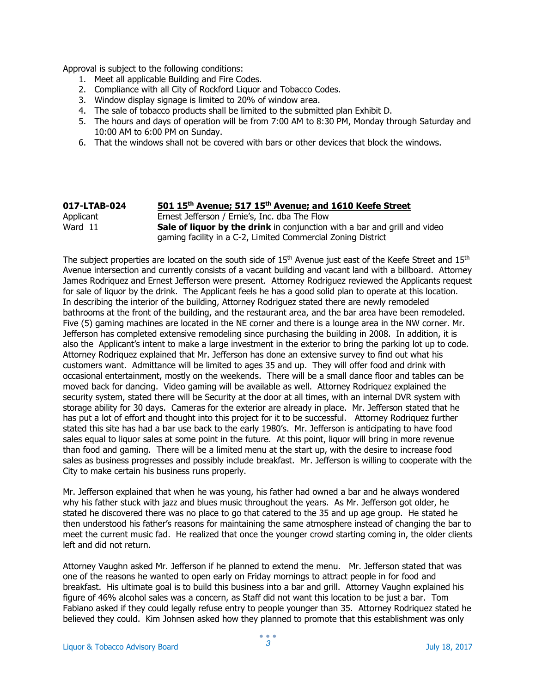Approval is subject to the following conditions:

- 1. Meet all applicable Building and Fire Codes.
- 2. Compliance with all City of Rockford Liquor and Tobacco Codes.
- 3. Window display signage is limited to 20% of window area.
- 4. The sale of tobacco products shall be limited to the submitted plan Exhibit D.
- 5. The hours and days of operation will be from 7:00 AM to 8:30 PM, Monday through Saturday and 10:00 AM to 6:00 PM on Sunday.
- 6. That the windows shall not be covered with bars or other devices that block the windows.

| 017-LTAB-024 | 501 15th Avenue; 517 15th Avenue; and 1610 Keefe Street                          |
|--------------|----------------------------------------------------------------------------------|
| Applicant    | Ernest Jefferson / Ernie's, Inc. dba The Flow                                    |
| Ward 11      | <b>Sale of liquor by the drink</b> in conjunction with a bar and grill and video |
|              | gaming facility in a C-2, Limited Commercial Zoning District                     |

The subject properties are located on the south side of 15<sup>th</sup> Avenue just east of the Keefe Street and 15<sup>th</sup> Avenue intersection and currently consists of a vacant building and vacant land with a billboard. Attorney James Rodriquez and Ernest Jefferson were present. Attorney Rodriguez reviewed the Applicants request for sale of liquor by the drink. The Applicant feels he has a good solid plan to operate at this location. In describing the interior of the building, Attorney Rodriguez stated there are newly remodeled bathrooms at the front of the building, and the restaurant area, and the bar area have been remodeled. Five (5) gaming machines are located in the NE corner and there is a lounge area in the NW corner. Mr. Jefferson has completed extensive remodeling since purchasing the building in 2008. In addition, it is also the Applicant's intent to make a large investment in the exterior to bring the parking lot up to code. Attorney Rodriquez explained that Mr. Jefferson has done an extensive survey to find out what his customers want. Admittance will be limited to ages 35 and up. They will offer food and drink with occasional entertainment, mostly on the weekends. There will be a small dance floor and tables can be moved back for dancing. Video gaming will be available as well. Attorney Rodriquez explained the security system, stated there will be Security at the door at all times, with an internal DVR system with storage ability for 30 days. Cameras for the exterior are already in place. Mr. Jefferson stated that he has put a lot of effort and thought into this project for it to be successful. Attorney Rodriquez further stated this site has had a bar use back to the early 1980's. Mr. Jefferson is anticipating to have food sales equal to liquor sales at some point in the future. At this point, liquor will bring in more revenue than food and gaming. There will be a limited menu at the start up, with the desire to increase food sales as business progresses and possibly include breakfast. Mr. Jefferson is willing to cooperate with the City to make certain his business runs properly.

Mr. Jefferson explained that when he was young, his father had owned a bar and he always wondered why his father stuck with jazz and blues music throughout the years. As Mr. Jefferson got older, he stated he discovered there was no place to go that catered to the 35 and up age group. He stated he then understood his father's reasons for maintaining the same atmosphere instead of changing the bar to meet the current music fad. He realized that once the younger crowd starting coming in, the older clients left and did not return.

Attorney Vaughn asked Mr. Jefferson if he planned to extend the menu. Mr. Jefferson stated that was one of the reasons he wanted to open early on Friday mornings to attract people in for food and breakfast. His ultimate goal is to build this business into a bar and grill. Attorney Vaughn explained his figure of 46% alcohol sales was a concern, as Staff did not want this location to be just a bar. Tom Fabiano asked if they could legally refuse entry to people younger than 35. Attorney Rodriquez stated he believed they could. Kim Johnsen asked how they planned to promote that this establishment was only